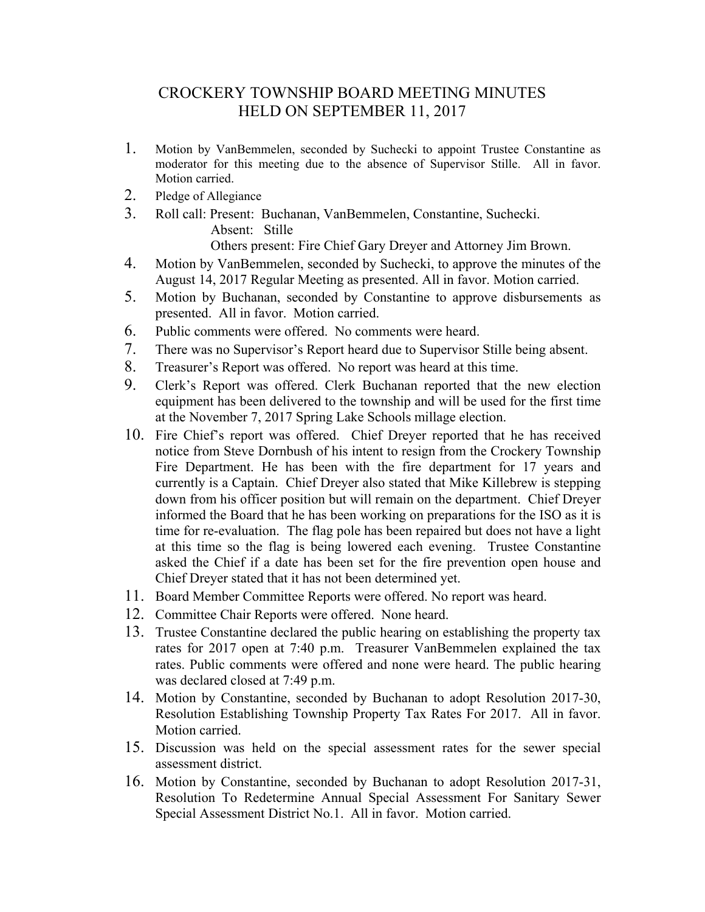## CROCKERY TOWNSHIP BOARD MEETING MINUTES HELD ON SEPTEMBER 11, 2017

- 1. Motion by VanBemmelen, seconded by Suchecki to appoint Trustee Constantine as moderator for this meeting due to the absence of Supervisor Stille. All in favor. Motion carried.
- 2. Pledge of Allegiance
- 3. Roll call: Present: Buchanan, VanBemmelen, Constantine, Suchecki. Absent: Stille

Others present: Fire Chief Gary Dreyer and Attorney Jim Brown.

- 4. Motion by VanBemmelen, seconded by Suchecki, to approve the minutes of the August 14, 2017 Regular Meeting as presented. All in favor. Motion carried.
- 5. Motion by Buchanan, seconded by Constantine to approve disbursements as presented. All in favor. Motion carried.
- 6. Public comments were offered. No comments were heard.
- 7. There was no Supervisor's Report heard due to Supervisor Stille being absent.
- 8. Treasurer's Report was offered. No report was heard at this time.
- 9. Clerk's Report was offered. Clerk Buchanan reported that the new election equipment has been delivered to the township and will be used for the first time at the November 7, 2017 Spring Lake Schools millage election.
- 10. Fire Chief's report was offered. Chief Dreyer reported that he has received notice from Steve Dornbush of his intent to resign from the Crockery Township Fire Department. He has been with the fire department for 17 years and currently is a Captain. Chief Dreyer also stated that Mike Killebrew is stepping down from his officer position but will remain on the department. Chief Dreyer informed the Board that he has been working on preparations for the ISO as it is time for re-evaluation. The flag pole has been repaired but does not have a light at this time so the flag is being lowered each evening. Trustee Constantine asked the Chief if a date has been set for the fire prevention open house and Chief Dreyer stated that it has not been determined yet.
- 11. Board Member Committee Reports were offered. No report was heard.
- 12. Committee Chair Reports were offered. None heard.
- 13. Trustee Constantine declared the public hearing on establishing the property tax rates for 2017 open at 7:40 p.m. Treasurer VanBemmelen explained the tax rates. Public comments were offered and none were heard. The public hearing was declared closed at 7:49 p.m.
- 14. Motion by Constantine, seconded by Buchanan to adopt Resolution 2017-30, Resolution Establishing Township Property Tax Rates For 2017. All in favor. Motion carried.
- 15. Discussion was held on the special assessment rates for the sewer special assessment district.
- 16. Motion by Constantine, seconded by Buchanan to adopt Resolution 2017-31, Resolution To Redetermine Annual Special Assessment For Sanitary Sewer Special Assessment District No.1. All in favor. Motion carried.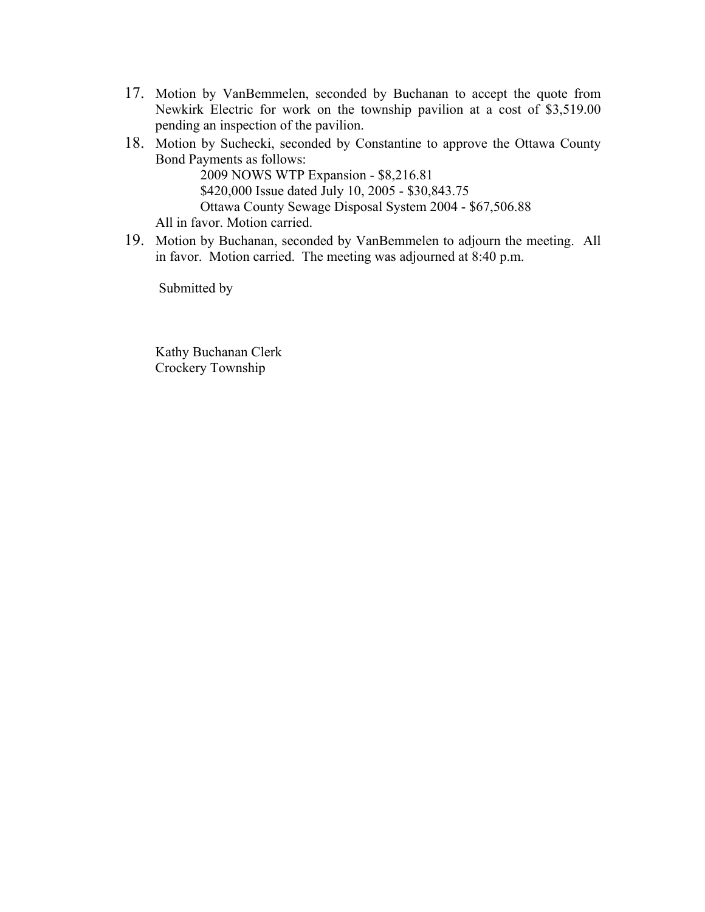- 17. Motion by VanBemmelen, seconded by Buchanan to accept the quote from Newkirk Electric for work on the township pavilion at a cost of \$3,519.00 pending an inspection of the pavilion.
- 18. Motion by Suchecki, seconded by Constantine to approve the Ottawa County Bond Payments as follows:

 2009 NOWS WTP Expansion - \$8,216.81 \$420,000 Issue dated July 10, 2005 - \$30,843.75 Ottawa County Sewage Disposal System 2004 - \$67,506.88 All in favor. Motion carried.

19. Motion by Buchanan, seconded by VanBemmelen to adjourn the meeting. All in favor. Motion carried. The meeting was adjourned at 8:40 p.m.

Submitted by

 Kathy Buchanan Clerk Crockery Township